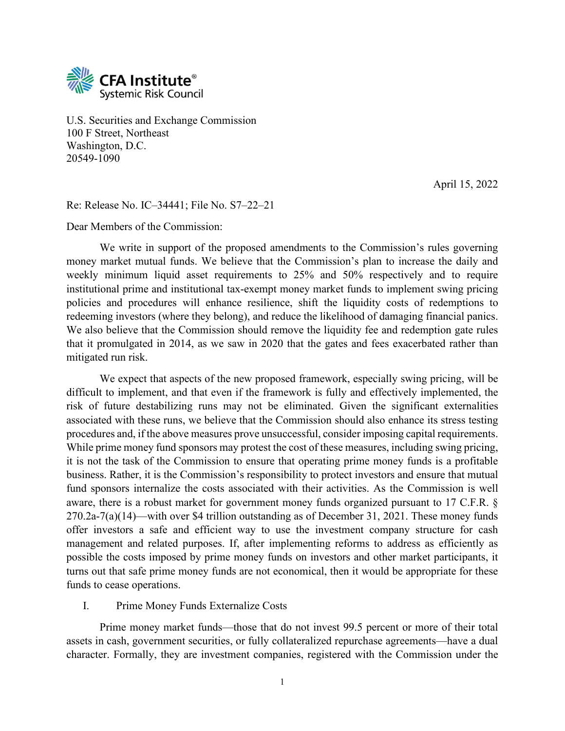

U.S. Securities and Exchange Commission 100 F Street, Northeast Washington, D.C. 20549-1090

April 15, 2022

Re: Release No. IC–34441; File No. S7–22–21

Dear Members of the Commission:

We write in support of the proposed amendments to the Commission's rules governing money market mutual funds. We believe that the Commission's plan to increase the daily and weekly minimum liquid asset requirements to 25% and 50% respectively and to require institutional prime and institutional tax-exempt money market funds to implement swing pricing policies and procedures will enhance resilience, shift the liquidity costs of redemptions to redeeming investors (where they belong), and reduce the likelihood of damaging financial panics. We also believe that the Commission should remove the liquidity fee and redemption gate rules that it promulgated in 2014, as we saw in 2020 that the gates and fees exacerbated rather than mitigated run risk.

We expect that aspects of the new proposed framework, especially swing pricing, will be difficult to implement, and that even if the framework is fully and effectively implemented, the risk of future destabilizing runs may not be eliminated. Given the significant externalities associated with these runs, we believe that the Commission should also enhance its stress testing procedures and, if the above measures prove unsuccessful, consider imposing capital requirements. While prime money fund sponsors may protest the cost of these measures, including swing pricing, it is not the task of the Commission to ensure that operating prime money funds is a profitable business. Rather, it is the Commission's responsibility to protect investors and ensure that mutual fund sponsors internalize the costs associated with their activities. As the Commission is well aware, there is a robust market for government money funds organized pursuant to 17 C.F.R. § 270.2a-7(a)(14)—with over \$4 trillion outstanding as of December 31, 2021. These money funds offer investors a safe and efficient way to use the investment company structure for cash management and related purposes. If, after implementing reforms to address as efficiently as possible the costs imposed by prime money funds on investors and other market participants, it turns out that safe prime money funds are not economical, then it would be appropriate for these funds to cease operations.

I. Prime Money Funds Externalize Costs

Prime money market funds—those that do not invest 99.5 percent or more of their total assets in cash, government securities, or fully collateralized repurchase agreements—have a dual character. Formally, they are investment companies, registered with the Commission under the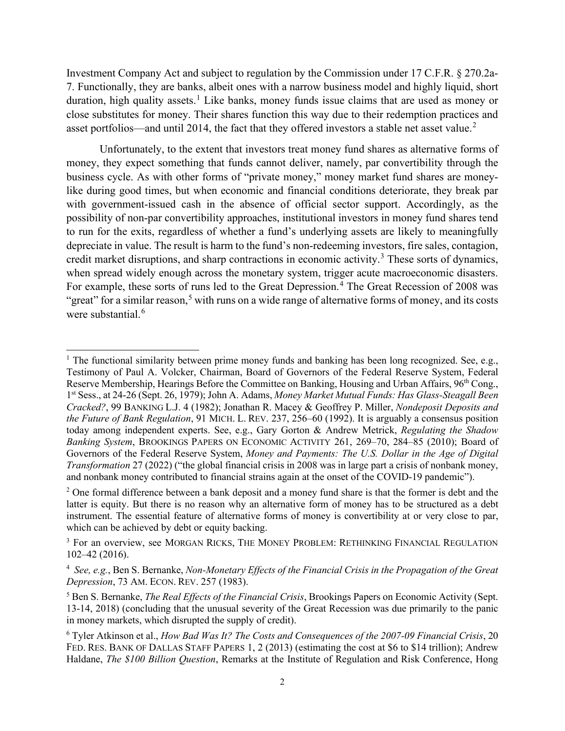Investment Company Act and subject to regulation by the Commission under 17 C.F.R. § 270.2a-7. Functionally, they are banks, albeit ones with a narrow business model and highly liquid, short duration, high quality assets.<sup>[1](#page-1-0)</sup> Like banks, money funds issue claims that are used as money or close substitutes for money. Their shares function this way due to their redemption practices and asset portfolios—and until [2](#page-1-1)014, the fact that they offered investors a stable net asset value.<sup>2</sup>

Unfortunately, to the extent that investors treat money fund shares as alternative forms of money, they expect something that funds cannot deliver, namely, par convertibility through the business cycle. As with other forms of "private money," money market fund shares are moneylike during good times, but when economic and financial conditions deteriorate, they break par with government-issued cash in the absence of official sector support. Accordingly, as the possibility of non-par convertibility approaches, institutional investors in money fund shares tend to run for the exits, regardless of whether a fund's underlying assets are likely to meaningfully depreciate in value. The result is harm to the fund's non-redeeming investors, fire sales, contagion, credit market disruptions, and sharp contractions in economic activity.<sup>[3](#page-1-2)</sup> These sorts of dynamics, when spread widely enough across the monetary system, trigger acute macroeconomic disasters. For example, these sorts of runs led to the Great Depression.<sup>[4](#page-1-3)</sup> The Great Recession of 2008 was "great" for a similar reason,<sup>[5](#page-1-4)</sup> with runs on a wide range of alternative forms of money, and its costs were substantial.<sup>[6](#page-1-5)</sup>

<span id="page-1-0"></span><sup>&</sup>lt;sup>1</sup> The functional similarity between prime money funds and banking has been long recognized. See, e.g., Testimony of Paul A. Volcker, Chairman, Board of Governors of the Federal Reserve System, Federal Reserve Membership, Hearings Before the Committee on Banking, Housing and Urban Affairs, 96<sup>th</sup> Cong., 1st Sess., at 24-26 (Sept. 26, 1979); John A. Adams, *Money Market Mutual Funds: Has Glass-Steagall Been Cracked?*, 99 BANKING L.J. 4 (1982); Jonathan R. Macey & Geoffrey P. Miller, *Nondeposit Deposits and the Future of Bank Regulation*, 91 MICH. L. REV. 237, 256–60 (1992). It is arguably a consensus position today among independent experts. See, e.g., Gary Gorton & Andrew Metrick, *Regulating the Shadow Banking System*, BROOKINGS PAPERS ON ECONOMIC ACTIVITY 261, 269–70, 284–85 (2010); Board of Governors of the Federal Reserve System, *Money and Payments: The U.S. Dollar in the Age of Digital Transformation* 27 (2022) ("the global financial crisis in 2008 was in large part a crisis of nonbank money, and nonbank money contributed to financial strains again at the onset of the COVID-19 pandemic").

<span id="page-1-1"></span><sup>&</sup>lt;sup>2</sup> One formal difference between a bank deposit and a money fund share is that the former is debt and the latter is equity. But there is no reason why an alternative form of money has to be structured as a debt instrument. The essential feature of alternative forms of money is convertibility at or very close to par, which can be achieved by debt or equity backing.

<span id="page-1-2"></span><sup>&</sup>lt;sup>3</sup> For an overview, see MORGAN RICKS, THE MONEY PROBLEM: RETHINKING FINANCIAL REGULATION 102–42 (2016).

<span id="page-1-3"></span><sup>4</sup> *See, e.g.*, Ben S. Bernanke, *Non-Monetary Effects of the Financial Crisis in the Propagation of the Great Depression*, 73 AM. ECON. REV. 257 (1983).

<span id="page-1-4"></span><sup>5</sup> Ben S. Bernanke, *The Real Effects of the Financial Crisis*, Brookings Papers on Economic Activity (Sept. 13-14, 2018) (concluding that the unusual severity of the Great Recession was due primarily to the panic in money markets, which disrupted the supply of credit).

<span id="page-1-5"></span><sup>6</sup> Tyler Atkinson et al., *How Bad Was It? The Costs and Consequences of the 2007-09 Financial Crisis*, 20 FED. RES. BANK OF DALLAS STAFF PAPERS 1, 2 (2013) (estimating the cost at \$6 to \$14 trillion); Andrew Haldane, *The \$100 Billion Question*, Remarks at the Institute of Regulation and Risk Conference, Hong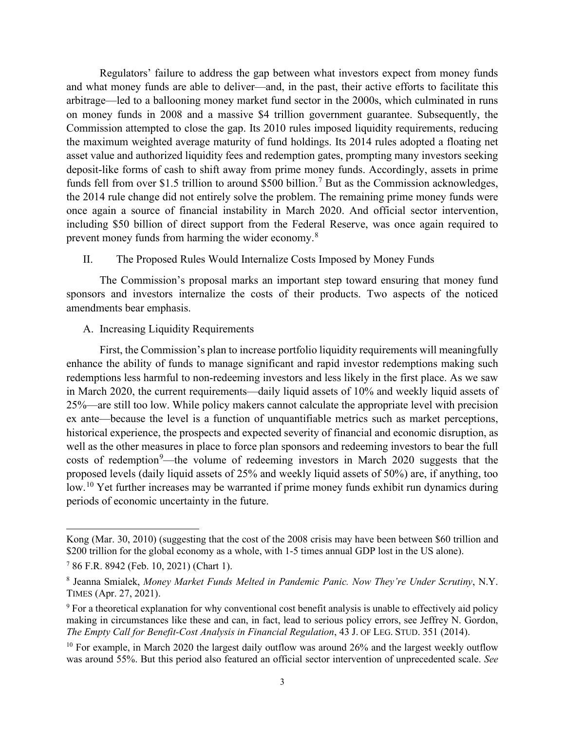Regulators' failure to address the gap between what investors expect from money funds and what money funds are able to deliver—and, in the past, their active efforts to facilitate this arbitrage—led to a ballooning money market fund sector in the 2000s, which culminated in runs on money funds in 2008 and a massive \$4 trillion government guarantee. Subsequently, the Commission attempted to close the gap. Its 2010 rules imposed liquidity requirements, reducing the maximum weighted average maturity of fund holdings. Its 2014 rules adopted a floating net asset value and authorized liquidity fees and redemption gates, prompting many investors seeking deposit-like forms of cash to shift away from prime money funds. Accordingly, assets in prime funds fell from over \$1.5 trillion to around \$500 billion.<sup>[7](#page-2-0)</sup> But as the Commission acknowledges, the 2014 rule change did not entirely solve the problem. The remaining prime money funds were once again a source of financial instability in March 2020. And official sector intervention, including \$50 billion of direct support from the Federal Reserve, was once again required to prevent money funds from harming the wider economy.<sup>[8](#page-2-1)</sup>

# II. The Proposed Rules Would Internalize Costs Imposed by Money Funds

The Commission's proposal marks an important step toward ensuring that money fund sponsors and investors internalize the costs of their products. Two aspects of the noticed amendments bear emphasis.

## A. Increasing Liquidity Requirements

First, the Commission's plan to increase portfolio liquidity requirements will meaningfully enhance the ability of funds to manage significant and rapid investor redemptions making such redemptions less harmful to non-redeeming investors and less likely in the first place. As we saw in March 2020, the current requirements—daily liquid assets of 10% and weekly liquid assets of 25%—are still too low. While policy makers cannot calculate the appropriate level with precision ex ante—because the level is a function of unquantifiable metrics such as market perceptions, historical experience, the prospects and expected severity of financial and economic disruption, as well as the other measures in place to force plan sponsors and redeeming investors to bear the full costs of redemption<sup>[9](#page-2-2)</sup>—the volume of redeeming investors in March 2020 suggests that the proposed levels (daily liquid assets of 25% and weekly liquid assets of 50%) are, if anything, too low.<sup>[10](#page-2-3)</sup> Yet further increases may be warranted if prime money funds exhibit run dynamics during periods of economic uncertainty in the future.

Kong (Mar. 30, 2010) (suggesting that the cost of the 2008 crisis may have been between \$60 trillion and \$200 trillion for the global economy as a whole, with 1-5 times annual GDP lost in the US alone).

<span id="page-2-0"></span><sup>7</sup> 86 F.R. 8942 (Feb. 10, 2021) (Chart 1).

<span id="page-2-1"></span><sup>8</sup> Jeanna Smialek, *Money Market Funds Melted in Pandemic Panic. Now They're Under Scrutiny*, N.Y. TIMES (Apr. 27, 2021).

<span id="page-2-2"></span><sup>9</sup> For a theoretical explanation for why conventional cost benefit analysis is unable to effectively aid policy making in circumstances like these and can, in fact, lead to serious policy errors, see Jeffrey N. Gordon, *The Empty Call for Benefit-Cost Analysis in Financial Regulation*, 43 J. OF LEG. STUD. 351 (2014).

<span id="page-2-3"></span> $10$  For example, in March 2020 the largest daily outflow was around 26% and the largest weekly outflow was around 55%. But this period also featured an official sector intervention of unprecedented scale. *See*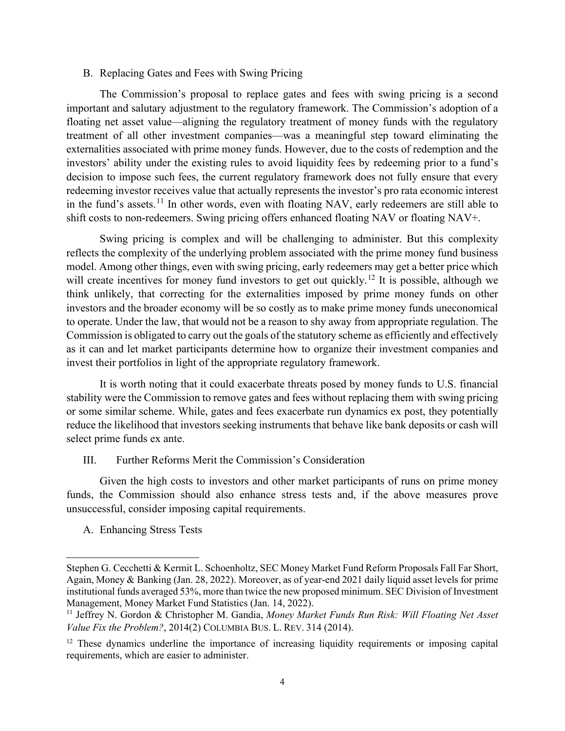#### B. Replacing Gates and Fees with Swing Pricing

The Commission's proposal to replace gates and fees with swing pricing is a second important and salutary adjustment to the regulatory framework. The Commission's adoption of a floating net asset value—aligning the regulatory treatment of money funds with the regulatory treatment of all other investment companies—was a meaningful step toward eliminating the externalities associated with prime money funds. However, due to the costs of redemption and the investors' ability under the existing rules to avoid liquidity fees by redeeming prior to a fund's decision to impose such fees, the current regulatory framework does not fully ensure that every redeeming investor receives value that actually represents the investor's pro rata economic interest in the fund's assets.<sup>[11](#page-3-0)</sup> In other words, even with floating NAV, early redeemers are still able to shift costs to non-redeemers. Swing pricing offers enhanced floating NAV or floating NAV+.

Swing pricing is complex and will be challenging to administer. But this complexity reflects the complexity of the underlying problem associated with the prime money fund business model. Among other things, even with swing pricing, early redeemers may get a better price which will create incentives for money fund investors to get out quickly.<sup>[12](#page-3-1)</sup> It is possible, although we think unlikely, that correcting for the externalities imposed by prime money funds on other investors and the broader economy will be so costly as to make prime money funds uneconomical to operate. Under the law, that would not be a reason to shy away from appropriate regulation. The Commission is obligated to carry out the goals of the statutory scheme as efficiently and effectively as it can and let market participants determine how to organize their investment companies and invest their portfolios in light of the appropriate regulatory framework.

It is worth noting that it could exacerbate threats posed by money funds to U.S. financial stability were the Commission to remove gates and fees without replacing them with swing pricing or some similar scheme. While, gates and fees exacerbate run dynamics ex post, they potentially reduce the likelihood that investors seeking instruments that behave like bank deposits or cash will select prime funds ex ante.

III. Further Reforms Merit the Commission's Consideration

Given the high costs to investors and other market participants of runs on prime money funds, the Commission should also enhance stress tests and, if the above measures prove unsuccessful, consider imposing capital requirements.

A. Enhancing Stress Tests

Stephen G. Cecchetti & Kermit L. Schoenholtz, SEC Money Market Fund Reform Proposals Fall Far Short, Again, Money & Banking (Jan. 28, 2022). Moreover, as of year-end 2021 daily liquid asset levels for prime institutional funds averaged 53%, more than twice the new proposed minimum. SEC Division of Investment Management, Money Market Fund Statistics (Jan. 14, 2022).

<span id="page-3-0"></span><sup>11</sup> Jeffrey N. Gordon & Christopher M. Gandia, *Money Market Funds Run Risk: Will Floating Net Asset Value Fix the Problem?*, 2014(2) COLUMBIA BUS. L. REV. 314 (2014).

<span id="page-3-1"></span><sup>&</sup>lt;sup>12</sup> These dynamics underline the importance of increasing liquidity requirements or imposing capital requirements, which are easier to administer.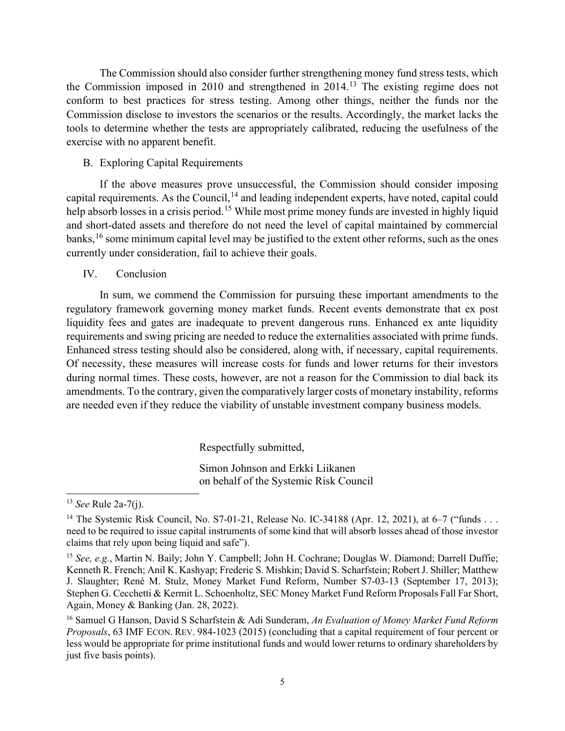The Commission should also consider further strengthening money fund stress tests, which the Commission imposed in 2010 and strengthened in 2014.[13](#page-4-0) The existing regime does not conform to best practices for stress testing. Among other things, neither the funds nor the Commission disclose to investors the scenarios or the results. Accordingly, the market lacks the tools to determine whether the tests are appropriately calibrated, reducing the usefulness of the exercise with no apparent benefit.

B. Exploring Capital Requirements

If the above measures prove unsuccessful, the Commission should consider imposing capital requirements. As the Council,<sup>[14](#page-4-1)</sup> and leading independent experts, have noted, capital could help absorb losses in a crisis period.<sup>[15](#page-4-2)</sup> While most prime money funds are invested in highly liquid and short-dated assets and therefore do not need the level of capital maintained by commercial banks,<sup>[16](#page-4-3)</sup> some minimum capital level may be justified to the extent other reforms, such as the ones currently under consideration, fail to achieve their goals.

IV. Conclusion

In sum, we commend the Commission for pursuing these important amendments to the regulatory framework governing money market funds. Recent events demonstrate that ex post liquidity fees and gates are inadequate to prevent dangerous runs. Enhanced ex ante liquidity requirements and swing pricing are needed to reduce the externalities associated with prime funds. Enhanced stress testing should also be considered, along with, if necessary, capital requirements. Of necessity, these measures will increase costs for funds and lower returns for their investors during normal times. These costs, however, are not a reason for the Commission to dial back its amendments. To the contrary, given the comparatively larger costs of monetary instability, reforms are needed even if they reduce the viability of unstable investment company business models.

Respectfully submitted,

Simon Johnson and Erkki Liikanen on behalf of the Systemic Risk Council

<span id="page-4-0"></span><sup>13</sup> *See* Rule 2a-7(j).

<span id="page-4-1"></span><sup>&</sup>lt;sup>14</sup> The Systemic Risk Council, No. S7-01-21, Release No. IC-34188 (Apr. 12, 2021), at 6–7 ("funds . . . need to be required to issue capital instruments of some kind that will absorb losses ahead of those investor claims that rely upon being liquid and safe").

<span id="page-4-2"></span><sup>15</sup> *See, e.g.*, Martin N. Baily; John Y. Campbell; John H. Cochrane; Douglas W. Diamond; Darrell Duffie; Kenneth R. French; Anil K. Kashyap; Frederic S. Mishkin; David S. Scharfstein; Robert J. Shiller; Matthew J. Slaughter; René M. Stulz, Money Market Fund Reform, Number S7-03-13 (September 17, 2013); Stephen G. Cecchetti & Kermit L. Schoenholtz, SEC Money Market Fund Reform Proposals Fall Far Short, Again, Money & Banking (Jan. 28, 2022).

<span id="page-4-3"></span><sup>16</sup> Samuel G Hanson, David S Scharfstein & Adi Sunderam, *An Evaluation of Money Market Fund Reform Proposals*, 63 IMF ECON. REV. 984-1023 (2015) (concluding that a capital requirement of four percent or less would be appropriate for prime institutional funds and would lower returns to ordinary shareholders by just five basis points).